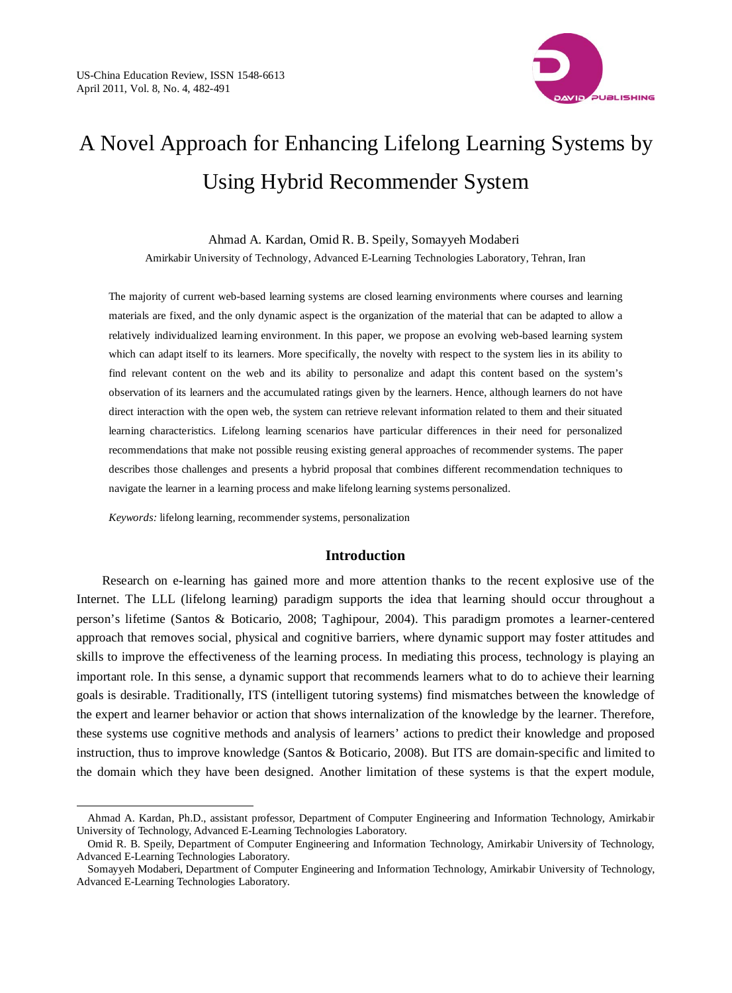

# A Novel Approach for Enhancing Lifelong Learning Systems by Using Hybrid Recommender System

## Ahmad A. Kardan, Omid R. B. Speily, Somayyeh Modaberi

Amirkabir University of Technology, Advanced E-Learning Technologies Laboratory, Tehran, Iran

The majority of current web-based learning systems are closed learning environments where courses and learning materials are fixed, and the only dynamic aspect is the organization of the material that can be adapted to allow a relatively individualized learning environment. In this paper, we propose an evolving web-based learning system which can adapt itself to its learners. More specifically, the novelty with respect to the system lies in its ability to find relevant content on the web and its ability to personalize and adapt this content based on the system's observation of its learners and the accumulated ratings given by the learners. Hence, although learners do not have direct interaction with the open web, the system can retrieve relevant information related to them and their situated learning characteristics. Lifelong learning scenarios have particular differences in their need for personalized recommendations that make not possible reusing existing general approaches of recommender systems. The paper describes those challenges and presents a hybrid proposal that combines different recommendation techniques to navigate the learner in a learning process and make lifelong learning systems personalized.

*Keywords:* lifelong learning, recommender systems, personalization

-

## **Introduction**

Research on e-learning has gained more and more attention thanks to the recent explosive use of the Internet. The LLL (lifelong learning) paradigm supports the idea that learning should occur throughout a person's lifetime (Santos & Boticario, 2008; Taghipour, 2004). This paradigm promotes a learner-centered approach that removes social, physical and cognitive barriers, where dynamic support may foster attitudes and skills to improve the effectiveness of the learning process. In mediating this process, technology is playing an important role. In this sense, a dynamic support that recommends learners what to do to achieve their learning goals is desirable. Traditionally, ITS (intelligent tutoring systems) find mismatches between the knowledge of the expert and learner behavior or action that shows internalization of the knowledge by the learner. Therefore, these systems use cognitive methods and analysis of learners' actions to predict their knowledge and proposed instruction, thus to improve knowledge (Santos & Boticario, 2008). But ITS are domain-specific and limited to the domain which they have been designed. Another limitation of these systems is that the expert module,

Ahmad A. Kardan, Ph.D., assistant professor, Department of Computer Engineering and Information Technology, Amirkabir University of Technology, Advanced E-Learning Technologies Laboratory.

Omid R. B. Speily, Department of Computer Engineering and Information Technology, Amirkabir University of Technology, Advanced E-Learning Technologies Laboratory.

Somayyeh Modaberi, Department of Computer Engineering and Information Technology, Amirkabir University of Technology, Advanced E-Learning Technologies Laboratory.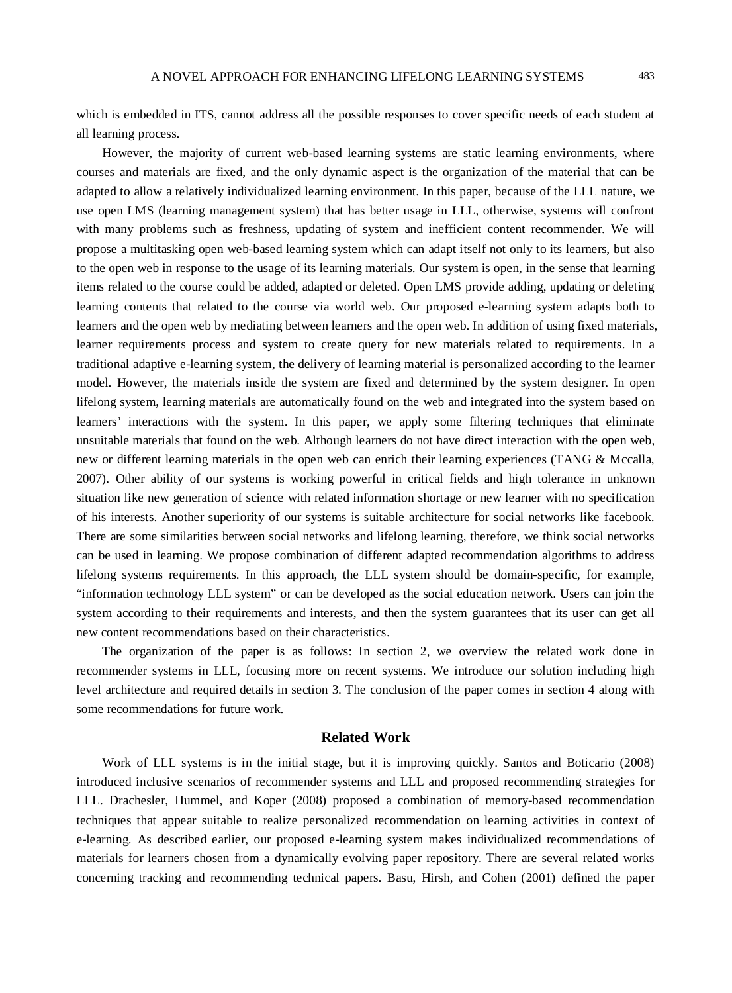which is embedded in ITS, cannot address all the possible responses to cover specific needs of each student at all learning process.

However, the majority of current web-based learning systems are static learning environments, where courses and materials are fixed, and the only dynamic aspect is the organization of the material that can be adapted to allow a relatively individualized learning environment. In this paper, because of the LLL nature, we use open LMS (learning management system) that has better usage in LLL, otherwise, systems will confront with many problems such as freshness, updating of system and inefficient content recommender. We will propose a multitasking open web-based learning system which can adapt itself not only to its learners, but also to the open web in response to the usage of its learning materials. Our system is open, in the sense that learning items related to the course could be added, adapted or deleted. Open LMS provide adding, updating or deleting learning contents that related to the course via world web. Our proposed e-learning system adapts both to learners and the open web by mediating between learners and the open web. In addition of using fixed materials, learner requirements process and system to create query for new materials related to requirements. In a traditional adaptive e-learning system, the delivery of learning material is personalized according to the learner model. However, the materials inside the system are fixed and determined by the system designer. In open lifelong system, learning materials are automatically found on the web and integrated into the system based on learners' interactions with the system. In this paper, we apply some filtering techniques that eliminate unsuitable materials that found on the web. Although learners do not have direct interaction with the open web, new or different learning materials in the open web can enrich their learning experiences (TANG & Mccalla, 2007). Other ability of our systems is working powerful in critical fields and high tolerance in unknown situation like new generation of science with related information shortage or new learner with no specification of his interests. Another superiority of our systems is suitable architecture for social networks like facebook. There are some similarities between social networks and lifelong learning, therefore, we think social networks can be used in learning. We propose combination of different adapted recommendation algorithms to address lifelong systems requirements. In this approach, the LLL system should be domain-specific, for example, "information technology LLL system" or can be developed as the social education network. Users can join the system according to their requirements and interests, and then the system guarantees that its user can get all new content recommendations based on their characteristics.

The organization of the paper is as follows: In section 2, we overview the related work done in recommender systems in LLL, focusing more on recent systems. We introduce our solution including high level architecture and required details in section 3. The conclusion of the paper comes in section 4 along with some recommendations for future work.

#### **Related Work**

Work of LLL systems is in the initial stage, but it is improving quickly. Santos and Boticario (2008) introduced inclusive scenarios of recommender systems and LLL and proposed recommending strategies for LLL. Drachesler, Hummel, and Koper (2008) proposed a combination of memory-based recommendation techniques that appear suitable to realize personalized recommendation on learning activities in context of e-learning. As described earlier, our proposed e-learning system makes individualized recommendations of materials for learners chosen from a dynamically evolving paper repository. There are several related works concerning tracking and recommending technical papers. Basu, Hirsh, and Cohen (2001) defined the paper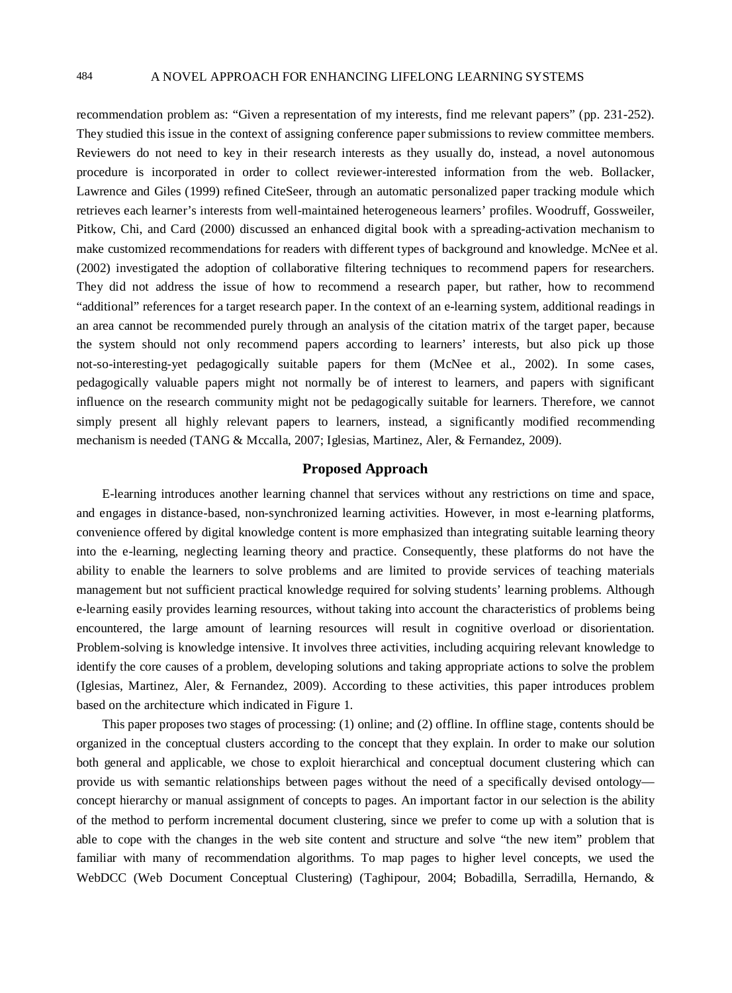recommendation problem as: "Given a representation of my interests, find me relevant papers" (pp. 231-252). They studied this issue in the context of assigning conference paper submissions to review committee members. Reviewers do not need to key in their research interests as they usually do, instead, a novel autonomous procedure is incorporated in order to collect reviewer-interested information from the web. Bollacker, Lawrence and Giles (1999) refined CiteSeer, through an automatic personalized paper tracking module which retrieves each learner's interests from well-maintained heterogeneous learners' profiles. Woodruff, Gossweiler, Pitkow, Chi, and Card (2000) discussed an enhanced digital book with a spreading-activation mechanism to make customized recommendations for readers with different types of background and knowledge. McNee et al. (2002) investigated the adoption of collaborative filtering techniques to recommend papers for researchers. They did not address the issue of how to recommend a research paper, but rather, how to recommend "additional" references for a target research paper. In the context of an e-learning system, additional readings in an area cannot be recommended purely through an analysis of the citation matrix of the target paper, because the system should not only recommend papers according to learners' interests, but also pick up those not-so-interesting-yet pedagogically suitable papers for them (McNee et al., 2002). In some cases, pedagogically valuable papers might not normally be of interest to learners, and papers with significant influence on the research community might not be pedagogically suitable for learners. Therefore, we cannot simply present all highly relevant papers to learners, instead, a significantly modified recommending mechanism is needed (TANG & Mccalla, 2007; Iglesias, Martinez, Aler, & Fernandez, 2009).

# **Proposed Approach**

E-learning introduces another learning channel that services without any restrictions on time and space, and engages in distance-based, non-synchronized learning activities. However, in most e-learning platforms, convenience offered by digital knowledge content is more emphasized than integrating suitable learning theory into the e-learning, neglecting learning theory and practice. Consequently, these platforms do not have the ability to enable the learners to solve problems and are limited to provide services of teaching materials management but not sufficient practical knowledge required for solving students' learning problems. Although e-learning easily provides learning resources, without taking into account the characteristics of problems being encountered, the large amount of learning resources will result in cognitive overload or disorientation. Problem-solving is knowledge intensive. It involves three activities, including acquiring relevant knowledge to identify the core causes of a problem, developing solutions and taking appropriate actions to solve the problem (Iglesias, Martinez, Aler, & Fernandez, 2009). According to these activities, this paper introduces problem based on the architecture which indicated in Figure 1.

This paper proposes two stages of processing: (1) online; and (2) offline. In offline stage, contents should be organized in the conceptual clusters according to the concept that they explain. In order to make our solution both general and applicable, we chose to exploit hierarchical and conceptual document clustering which can provide us with semantic relationships between pages without the need of a specifically devised ontology concept hierarchy or manual assignment of concepts to pages. An important factor in our selection is the ability of the method to perform incremental document clustering, since we prefer to come up with a solution that is able to cope with the changes in the web site content and structure and solve "the new item" problem that familiar with many of recommendation algorithms. To map pages to higher level concepts, we used the WebDCC (Web Document Conceptual Clustering) (Taghipour, 2004; Bobadilla, Serradilla, Hernando, &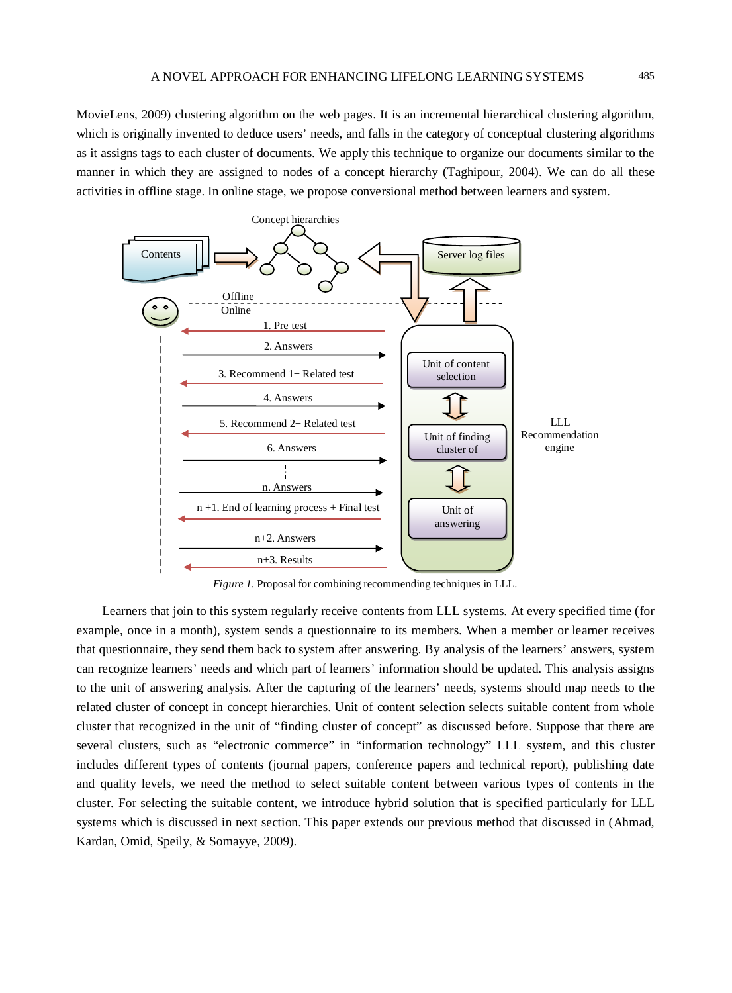MovieLens, 2009) clustering algorithm on the web pages. It is an incremental hierarchical clustering algorithm, which is originally invented to deduce users' needs, and falls in the category of conceptual clustering algorithms as it assigns tags to each cluster of documents. We apply this technique to organize our documents similar to the manner in which they are assigned to nodes of a concept hierarchy (Taghipour, 2004). We can do all these activities in offline stage. In online stage, we propose conversional method between learners and system.



*Figure 1.* Proposal for combining recommending techniques in LLL.

Learners that join to this system regularly receive contents from LLL systems. At every specified time (for example, once in a month), system sends a questionnaire to its members. When a member or learner receives that questionnaire, they send them back to system after answering. By analysis of the learners' answers, system can recognize learners' needs and which part of learners' information should be updated. This analysis assigns to the unit of answering analysis. After the capturing of the learners' needs, systems should map needs to the related cluster of concept in concept hierarchies. Unit of content selection selects suitable content from whole cluster that recognized in the unit of "finding cluster of concept" as discussed before. Suppose that there are several clusters, such as "electronic commerce" in "information technology" LLL system, and this cluster includes different types of contents (journal papers, conference papers and technical report), publishing date and quality levels, we need the method to select suitable content between various types of contents in the cluster. For selecting the suitable content, we introduce hybrid solution that is specified particularly for LLL systems which is discussed in next section. This paper extends our previous method that discussed in (Ahmad, Kardan, Omid, Speily, & Somayye, 2009).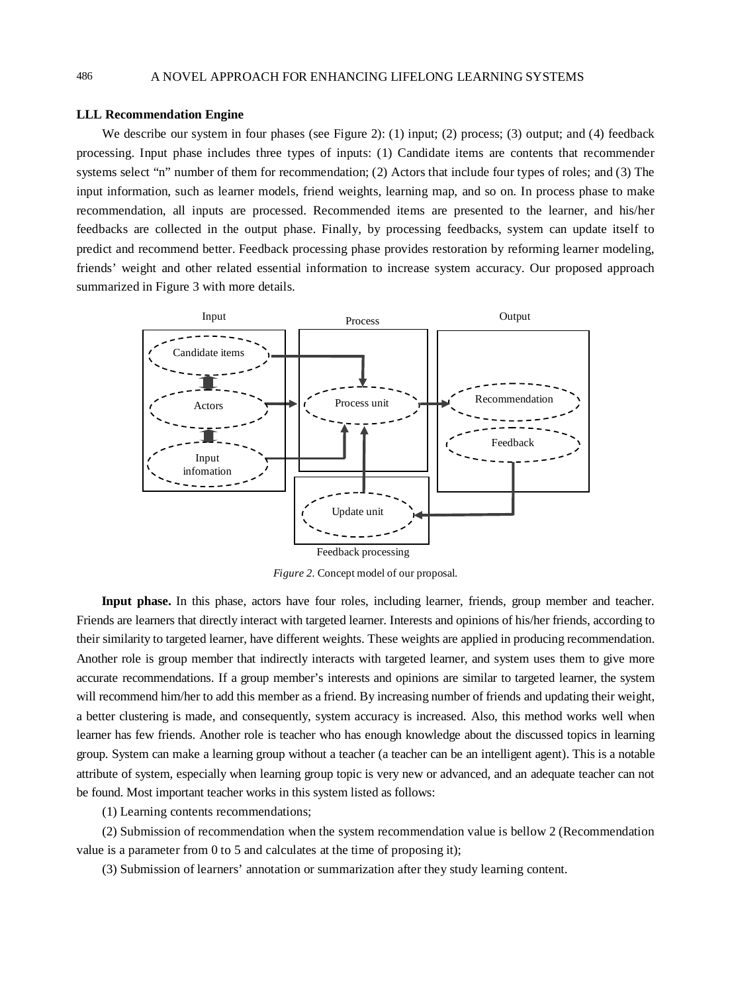#### **LLL Recommendation Engine**

We describe our system in four phases (see Figure 2): (1) input; (2) process; (3) output; and (4) feedback processing. Input phase includes three types of inputs: (1) Candidate items are contents that recommender systems select "n" number of them for recommendation; (2) Actors that include four types of roles; and (3) The input information, such as learner models, friend weights, learning map, and so on. In process phase to make recommendation, all inputs are processed. Recommended items are presented to the learner, and his/her feedbacks are collected in the output phase. Finally, by processing feedbacks, system can update itself to predict and recommend better. Feedback processing phase provides restoration by reforming learner modeling, friends' weight and other related essential information to increase system accuracy. Our proposed approach summarized in Figure 3 with more details.



*Figure 2.* Concept model of our proposal.

**Input phase.** In this phase, actors have four roles, including learner, friends, group member and teacher. Friends are learners that directly interact with targeted learner. Interests and opinions of his/her friends, according to their similarity to targeted learner, have different weights. These weights are applied in producing recommendation. Another role is group member that indirectly interacts with targeted learner, and system uses them to give more accurate recommendations. If a group member's interests and opinions are similar to targeted learner, the system will recommend him/her to add this member as a friend. By increasing number of friends and updating their weight, a better clustering is made, and consequently, system accuracy is increased. Also, this method works well when learner has few friends. Another role is teacher who has enough knowledge about the discussed topics in learning group. System can make a learning group without a teacher (a teacher can be an intelligent agent). This is a notable attribute of system, especially when learning group topic is very new or advanced, and an adequate teacher can not be found. Most important teacher works in this system listed as follows:

(1) Learning contents recommendations;

(2) Submission of recommendation when the system recommendation value is bellow 2 (Recommendation value is a parameter from 0 to 5 and calculates at the time of proposing it);

(3) Submission of learners' annotation or summarization after they study learning content.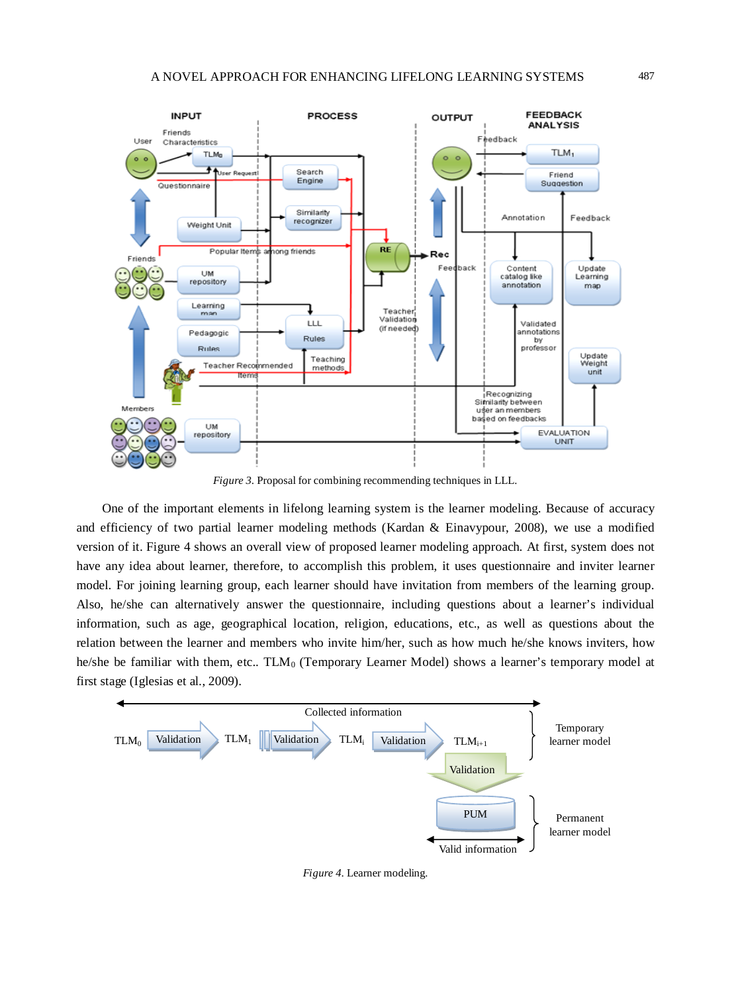

*Figure 3.* Proposal for combining recommending techniques in LLL.

One of the important elements in lifelong learning system is the learner modeling. Because of accuracy and efficiency of two partial learner modeling methods (Kardan & Einavypour, 2008), we use a modified version of it. Figure 4 shows an overall view of proposed learner modeling approach. At first, system does not have any idea about learner, therefore, to accomplish this problem, it uses questionnaire and inviter learner model. For joining learning group, each learner should have invitation from members of the learning group. Also, he/she can alternatively answer the questionnaire, including questions about a learner's individual information, such as age, geographical location, religion, educations, etc., as well as questions about the relation between the learner and members who invite him/her, such as how much he/she knows inviters, how he/she be familiar with them, etc..  $TLM_0$  (Temporary Learner Model) shows a learner's temporary model at first stage (Iglesias et al., 2009).



*Figure 4.* Learner modeling.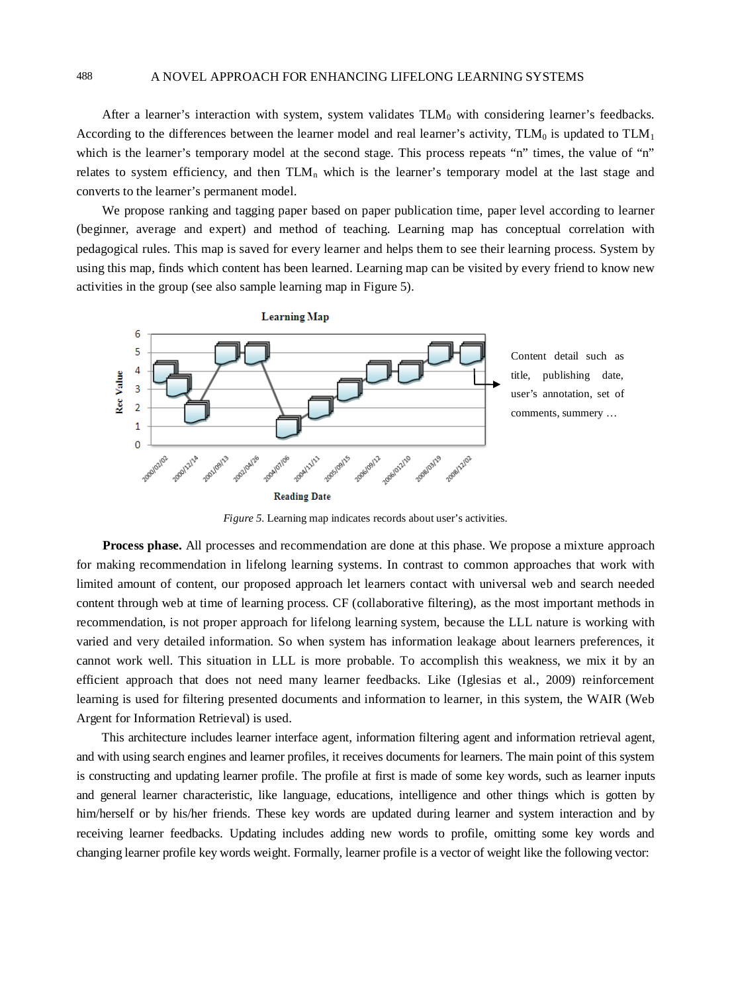After a learner's interaction with system, system validates  $TLM<sub>0</sub>$  with considering learner's feedbacks. According to the differences between the learner model and real learner's activity,  $TLM_0$  is updated to  $TLM_1$ which is the learner's temporary model at the second stage. This process repeats "n" times, the value of "n" relates to system efficiency, and then  $TLM<sub>n</sub>$  which is the learner's temporary model at the last stage and converts to the learner's permanent model.

We propose ranking and tagging paper based on paper publication time, paper level according to learner (beginner, average and expert) and method of teaching. Learning map has conceptual correlation with pedagogical rules. This map is saved for every learner and helps them to see their learning process. System by using this map, finds which content has been learned. Learning map can be visited by every friend to know new activities in the group (see also sample learning map in Figure 5).



*Figure 5.* Learning map indicates records about user's activities.

**Process phase.** All processes and recommendation are done at this phase. We propose a mixture approach for making recommendation in lifelong learning systems. In contrast to common approaches that work with limited amount of content, our proposed approach let learners contact with universal web and search needed content through web at time of learning process. CF (collaborative filtering), as the most important methods in recommendation, is not proper approach for lifelong learning system, because the LLL nature is working with varied and very detailed information. So when system has information leakage about learners preferences, it cannot work well. This situation in LLL is more probable. To accomplish this weakness, we mix it by an efficient approach that does not need many learner feedbacks. Like (Iglesias et al., 2009) reinforcement learning is used for filtering presented documents and information to learner, in this system, the WAIR (Web Argent for Information Retrieval) is used.

This architecture includes learner interface agent, information filtering agent and information retrieval agent, and with using search engines and learner profiles, it receives documents for learners. The main point of this system is constructing and updating learner profile. The profile at first is made of some key words, such as learner inputs and general learner characteristic, like language, educations, intelligence and other things which is gotten by him/herself or by his/her friends. These key words are updated during learner and system interaction and by receiving learner feedbacks. Updating includes adding new words to profile, omitting some key words and changing learner profile key words weight. Formally, learner profile is a vector of weight like the following vector: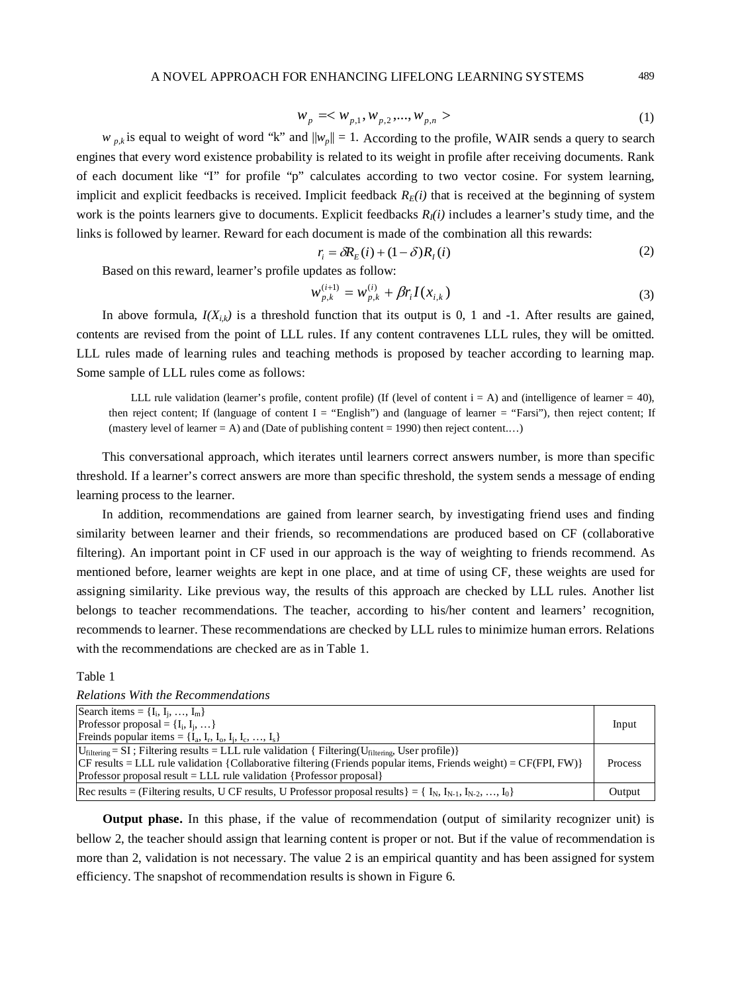$$
W_p \approx W_{p,1}, W_{p,2}, ..., W_{p,n} \tag{1}
$$

 $w_{p,k}$  is equal to weight of word "k" and  $||w_p|| = 1$ . According to the profile, WAIR sends a query to search engines that every word existence probability is related to its weight in profile after receiving documents. Rank of each document like "I" for profile "p" calculates according to two vector cosine. For system learning, implicit and explicit feedbacks is received. Implicit feedback  $R_E(i)$  that is received at the beginning of system work is the points learners give to documents. Explicit feedbacks  $R<sub>i</sub>(i)$  includes a learner's study time, and the links is followed by learner. Reward for each document is made of the combination all this rewards:

$$
r_i = \delta R_E(i) + (1 - \delta)R_I(i)
$$
\n(2)

Based on this reward, learner's profile updates as follow:

$$
w_{p,k}^{(i+1)} = w_{p,k}^{(i)} + \beta r_i I(x_{i,k})
$$
\n(3)

In above formula,  $I(X_{ik})$  is a threshold function that its output is 0, 1 and -1. After results are gained, contents are revised from the point of LLL rules. If any content contravenes LLL rules, they will be omitted. LLL rules made of learning rules and teaching methods is proposed by teacher according to learning map. Some sample of LLL rules come as follows:

LLL rule validation (learner's profile, content profile) (If (level of content  $i = A$ ) and (intelligence of learner = 40), then reject content; If (language of content  $I = "English")$  and (language of learner  $= "Farsi")$ , then reject content; If (mastery level of learner  $= A$ ) and (Date of publishing content  $= 1990$ ) then reject content....)

This conversational approach, which iterates until learners correct answers number, is more than specific threshold. If a learner's correct answers are more than specific threshold, the system sends a message of ending learning process to the learner.

In addition, recommendations are gained from learner search, by investigating friend uses and finding similarity between learner and their friends, so recommendations are produced based on CF (collaborative filtering). An important point in CF used in our approach is the way of weighting to friends recommend. As mentioned before, learner weights are kept in one place, and at time of using CF, these weights are used for assigning similarity. Like previous way, the results of this approach are checked by LLL rules. Another list belongs to teacher recommendations. The teacher, according to his/her content and learners' recognition, recommends to learner. These recommendations are checked by LLL rules to minimize human errors. Relations with the recommendations are checked are as in Table 1.

#### Table 1

| Relations With the Recommendations                                                                                          |                |
|-----------------------------------------------------------------------------------------------------------------------------|----------------|
| Search items = $\{I_i, I_j, , I_m\}$                                                                                        |                |
| Professor proposal = $\{I_i, I_i, \}$                                                                                       | Input          |
| Freinds popular items = $\{I_a, I_r, I_o, I_i, I_c, \ldots, I_s\}$                                                          |                |
| $ U_{\text{filtering}} = SI$ ; Filtering results = LLL rule validation { Filtering( $U_{\text{filtering}}$ , User profile)} |                |
| $CF$ results = LLL rule validation {Collaborative filtering (Friends popular items, Friends weight) = CF(FPI, FW)}          | <b>Process</b> |
| Professor proposal result = LLL rule validation {Professor proposal}                                                        |                |
| Rec results = (Filtering results, U CF results, U Professor proposal results $= \{I_N, I_{N-1}, I_{N-2}, , I_0\}$           | Output         |

**Output phase.** In this phase, if the value of recommendation (output of similarity recognizer unit) is bellow 2, the teacher should assign that learning content is proper or not. But if the value of recommendation is more than 2, validation is not necessary. The value 2 is an empirical quantity and has been assigned for system efficiency. The snapshot of recommendation results is shown in Figure 6.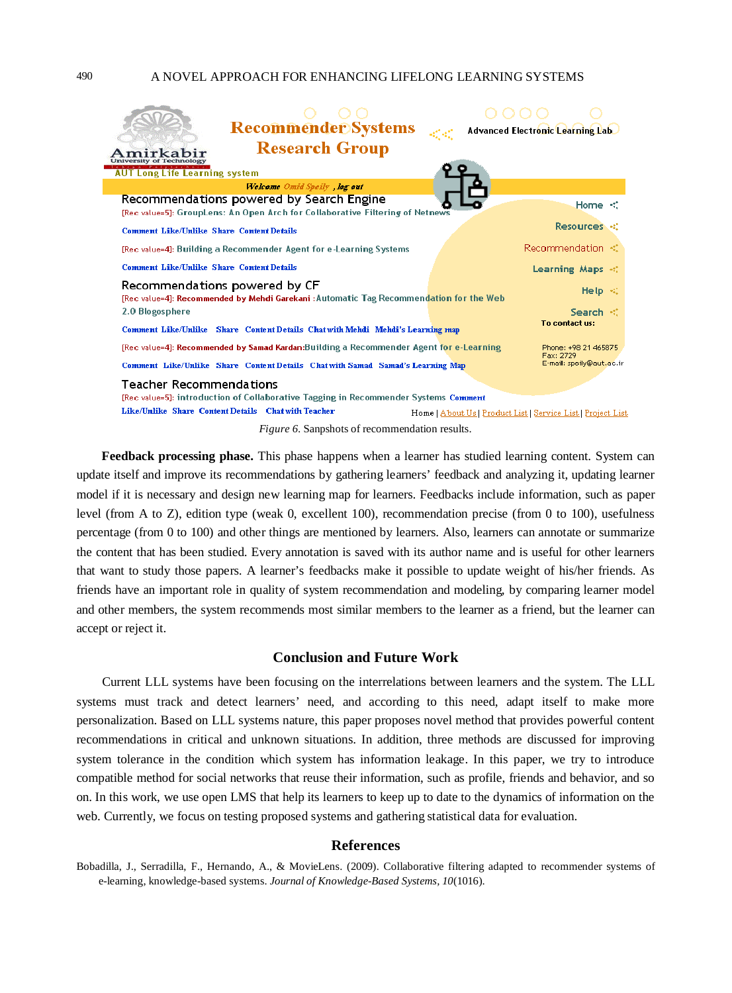

**Feedback processing phase.** This phase happens when a learner has studied learning content. System can update itself and improve its recommendations by gathering learners' feedback and analyzing it, updating learner model if it is necessary and design new learning map for learners. Feedbacks include information, such as paper level (from A to Z), edition type (weak 0, excellent 100), recommendation precise (from 0 to 100), usefulness percentage (from 0 to 100) and other things are mentioned by learners. Also, learners can annotate or summarize the content that has been studied. Every annotation is saved with its author name and is useful for other learners that want to study those papers. A learner's feedbacks make it possible to update weight of his/her friends. As friends have an important role in quality of system recommendation and modeling, by comparing learner model and other members, the system recommends most similar members to the learner as a friend, but the learner can accept or reject it.

# **Conclusion and Future Work**

Current LLL systems have been focusing on the interrelations between learners and the system. The LLL systems must track and detect learners' need, and according to this need, adapt itself to make more personalization. Based on LLL systems nature, this paper proposes novel method that provides powerful content recommendations in critical and unknown situations. In addition, three methods are discussed for improving system tolerance in the condition which system has information leakage. In this paper, we try to introduce compatible method for social networks that reuse their information, such as profile, friends and behavior, and so on. In this work, we use open LMS that help its learners to keep up to date to the dynamics of information on the web. Currently, we focus on testing proposed systems and gathering statistical data for evaluation.

#### **References**

Bobadilla, J., Serradilla, F., Hernando, A., & MovieLens. (2009). Collaborative filtering adapted to recommender systems of e-learning, knowledge-based systems. *Journal of Knowledge-Based Systems, 10*(1016).